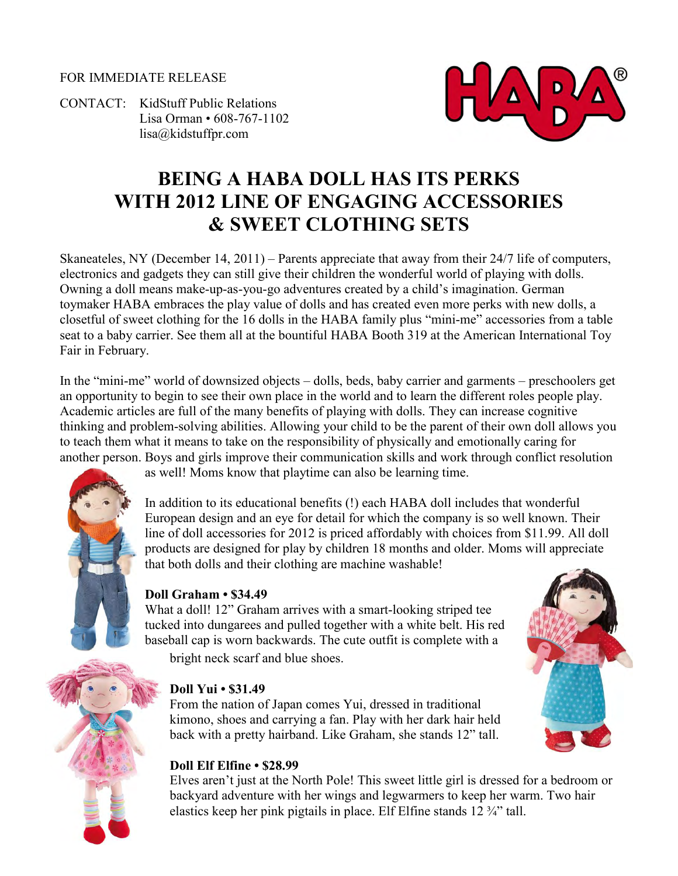#### FOR IMMEDIATE RELEASE

CONTACT: KidStuff Public Relations Lisa Orman • 608-767-1102 [lisa@kidstuffpr.com](mailto:lisa@kidstuffpr.com)



# **BEING A HABA DOLL HAS ITS PERKS WITH 2012 LINE OF ENGAGING ACCESSORIES & SWEET CLOTHING SETS**

Skaneateles, NY (December 14, 2011) – Parents appreciate that away from their 24/7 life of computers, electronics and gadgets they can still give their children the wonderful world of playing with dolls. Owning a doll means make-up-as-you-go adventures created by a child's imagination. German toymaker HABA embraces the play value of dolls and has created even more perks with new dolls, a closetful of sweet clothing for the 16 dolls in the HABA family plus "mini-me" accessories from a table seat to a baby carrier. See them all at the bountiful HABA Booth 319 at the American International Toy Fair in February.

In the "mini-me" world of downsized objects – dolls, beds, baby carrier and garments – preschoolers get an opportunity to begin to see their own place in the world and to learn the different roles people play. Academic articles are full of the many benefits of playing with dolls. They can increase cognitive thinking and problem-solving abilities. Allowing your child to be the parent of their own doll allows you to teach them what it means to take on the responsibility of physically and emotionally caring for another person. Boys and girls improve their communication skills and work through conflict resolution



as well! Moms know that playtime can also be learning time.

In addition to its educational benefits (!) each HABA doll includes that wonderful European design and an eye for detail for which the company is so well known. Their line of doll accessories for 2012 is priced affordably with choices from \$11.99. All doll products are designed for play by children 18 months and older. Moms will appreciate that both dolls and their clothing are machine washable!

## **Doll Graham • \$34.49**

What a doll! 12" Graham arrives with a smart-looking striped tee tucked into dungarees and pulled together with a white belt. His red baseball cap is worn backwards. The cute outfit is complete with a bright neck scarf and blue shoes.



From the nation of Japan comes Yui, dressed in traditional kimono, shoes and carrying a fan. Play with her dark hair held back with a pretty hairband. Like Graham, she stands 12" tall.



Elves aren't just at the North Pole! This sweet little girl is dressed for a bedroom or backyard adventure with her wings and legwarmers to keep her warm. Two hair elastics keep her pink pigtails in place. Elf Elfine stands 12 ¾" tall.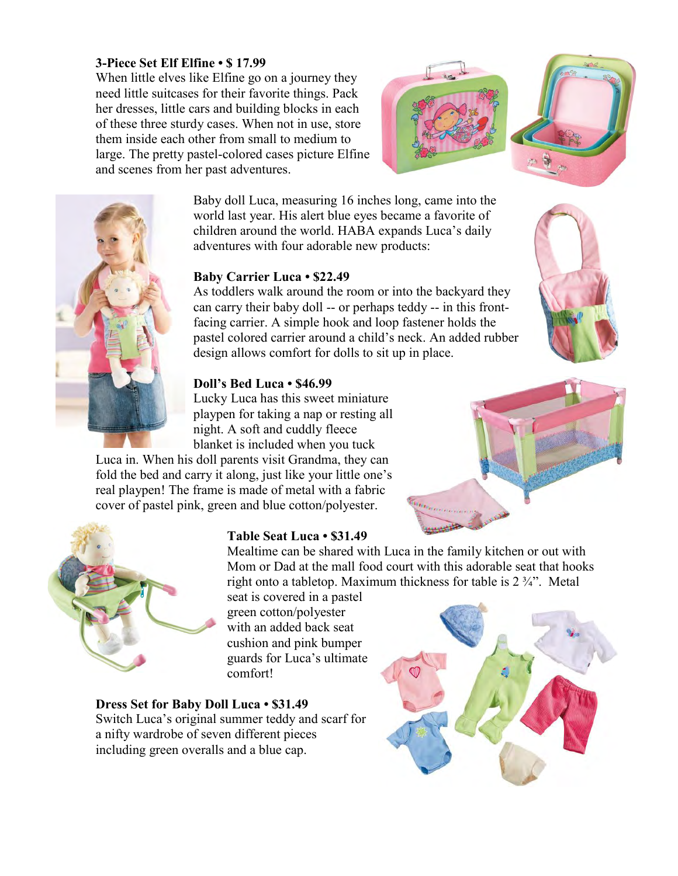#### **3-Piece Set Elf Elfine • \$ 17.99**

When little elves like Elfine go on a journey they need little suitcases for their favorite things. Pack her dresses, little cars and building blocks in each of these three sturdy cases. When not in use, store them inside each other from small to medium to large. The pretty pastel-colored cases picture Elfine and scenes from her past adventures.





Baby doll Luca, measuring 16 inches long, came into the world last year. His alert blue eyes became a favorite of children around the world. HABA expands Luca's daily adventures with four adorable new products:

## **Baby Carrier Luca • \$22.49**

As toddlers walk around the room or into the backyard they can carry their baby doll -- or perhaps teddy -- in this frontfacing carrier. A simple hook and loop fastener holds the pastel colored carrier around a child's neck. An added rubber design allows comfort for dolls to sit up in place.

## **Doll's Bed Luca • \$46.99**

Lucky Luca has this sweet miniature playpen for taking a nap or resting all night. A soft and cuddly fleece blanket is included when you tuck

Luca in. When his doll parents visit Grandma, they can fold the bed and carry it along, just like your little one's real playpen! The frame is made of metal with a fabric cover of pastel pink, green and blue cotton/polyester.



## **Table Seat Luca • \$31.49**

Mealtime can be shared with Luca in the family kitchen or out with Mom or Dad at the mall food court with this adorable seat that hooks right onto a tabletop. Maximum thickness for table is 2 ¾". Metal

seat is covered in a pastel green cotton/polyester with an added back seat cushion and pink bumper guards for Luca's ultimate comfort!

#### **Dress Set for Baby Doll Luca • \$31.49**

Switch Luca's original summer teddy and scarf for a nifty wardrobe of seven different pieces including green overalls and a blue cap.